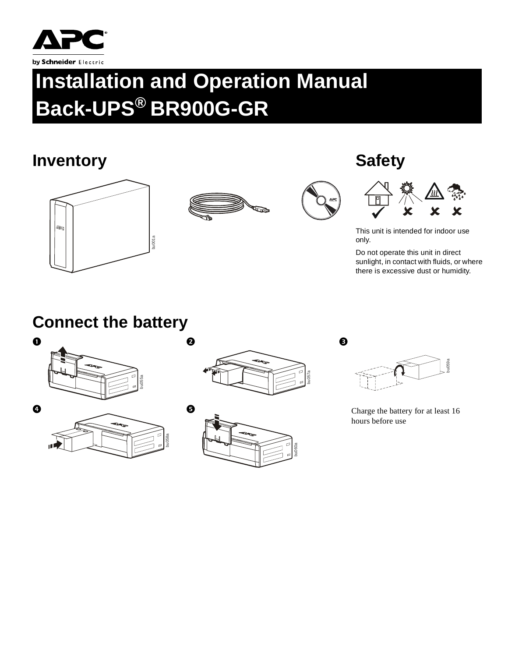

# **Installation and Operation Manual Back-UPS® BR900G-GR**

### **Inventory** Safety









This unit is intended for indoor use only.

Do not operate this unit in direct sunlight, in contact with fluids, or where there is excessive dust or humidity.

### **Connect the battery**









bu059a

hours before use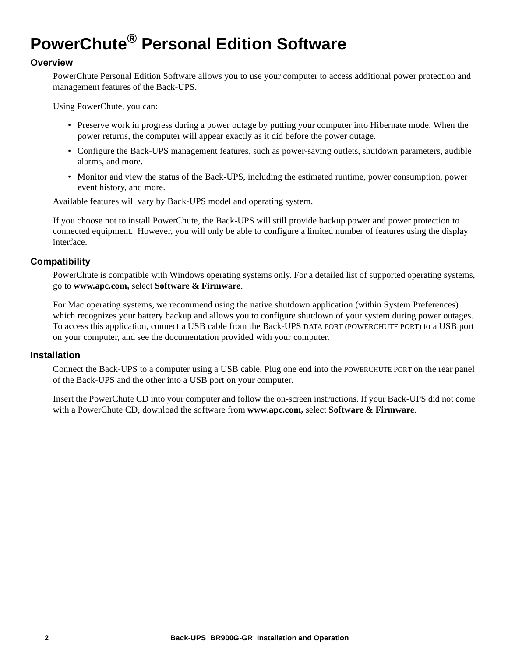## **PowerChute® Personal Edition Software**

#### **Overview**

PowerChute Personal Edition Software allows you to use your computer to access additional power protection and management features of the Back-UPS.

Using PowerChute, you can:

- Preserve work in progress during a power outage by putting your computer into Hibernate mode. When the power returns, the computer will appear exactly as it did before the power outage.
- Configure the Back-UPS management features, such as power-saving outlets, shutdown parameters, audible alarms, and more.
- Monitor and view the status of the Back-UPS, including the estimated runtime, power consumption, power event history, and more.

Available features will vary by Back-UPS model and operating system.

If you choose not to install PowerChute, the Back-UPS will still provide backup power and power protection to connected equipment. However, you will only be able to configure a limited number of features using the display interface.

#### **Compatibility**

PowerChute is compatible with Windows operating systems only. For a detailed list of supported operating systems, go to **www.apc.com,** select **Software & Firmware**.

For Mac operating systems, we recommend using the native shutdown application (within System Preferences) which recognizes your battery backup and allows you to configure shutdown of your system during power outages. To access this application, connect a USB cable from the Back-UPS DATA PORT (POWERCHUTE PORT) to a USB port on your computer, and see the documentation provided with your computer.

#### **Installation**

Connect the Back-UPS to a computer using a USB cable. Plug one end into the POWERCHUTE PORT on the rear panel of the Back-UPS and the other into a USB port on your computer.

Insert the PowerChute CD into your computer and follow the on-screen instructions. If your Back-UPS did not come with a PowerChute CD, download the software from **www.apc.com,** select **Software & Firmware**.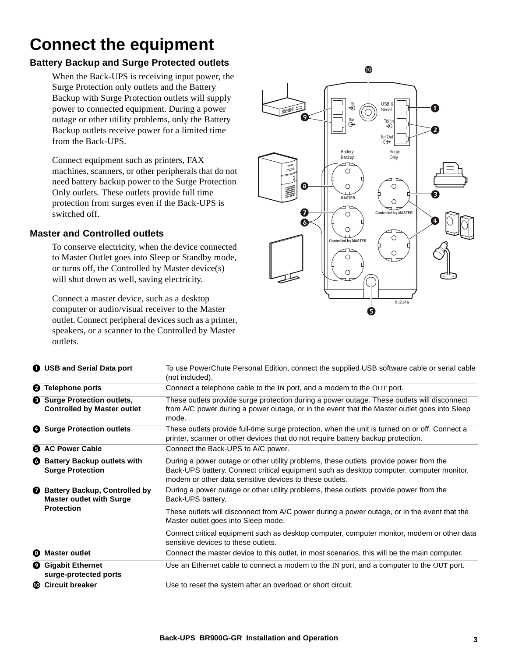### **Connect the equipment**

#### **Battery Backup and Surge Protected outlets**

When the Back-UPS is receiving input power, the Surge Protection only outlets and the Battery Backup with Surge Protection outlets will supply power to connected equipment. During a power outage or other utility problems, only the Battery Backup outlets receive power for a limited time from the Back-UPS.

Connect equipment such as printers, FAX machines, scanners, or other peripherals that do not need battery backup power to the Surge Protection Only outlets. These outlets provide full time protection from surges even if the Back-UPS is switched off.

#### **Master and Controlled outlets**

To conserve electricity, when the device connected to Master Outlet goes into Sleep or Standby mode, or turns off, the Controlled by Master device(s) will shut down as well, saving electricity.

Connect a master device, such as a desktop computer or audio/visual receiver to the Master outlet. Connect peripheral devices such as a printer, speakers, or a scanner to the Controlled by Master outlets.



|  | <b>O</b> USB and Serial Data port                                        | To use PowerChute Personal Edition, connect the supplied USB software cable or serial cable<br>(not included).                                                                                                                               |
|--|--------------------------------------------------------------------------|----------------------------------------------------------------------------------------------------------------------------------------------------------------------------------------------------------------------------------------------|
|  | <b>2</b> Telephone ports                                                 | Connect a telephone cable to the IN port, and a modem to the OUT port.                                                                                                                                                                       |
|  | <b>8</b> Surge Protection outlets,<br><b>Controlled by Master outlet</b> | These outlets provide surge protection during a power outage. These outlets will disconnect<br>from A/C power during a power outage, or in the event that the Master outlet goes into Sleep<br>mode.                                         |
|  | Surge Protection outlets                                                 | These outlets provide full-time surge protection, when the unit is turned on or off. Connect a<br>printer, scanner or other devices that do not require battery backup protection.                                                           |
|  | <b>6</b> AC Power Cable                                                  | Connect the Back-UPS to A/C power.                                                                                                                                                                                                           |
|  | <b>6</b> Battery Backup outlets with<br><b>Surge Protection</b>          | During a power outage or other utility problems, these outlets provide power from the<br>Back-UPS battery. Connect critical equipment such as desktop computer, computer monitor,<br>modem or other data sensitive devices to these outlets. |
|  | Battery Backup, Controlled by<br><b>Master outlet with Surge</b>         | During a power outage or other utility problems, these outlets provide power from the<br>Back-UPS battery.                                                                                                                                   |
|  | <b>Protection</b>                                                        | These outlets will disconnect from A/C power during a power outage, or in the event that the<br>Master outlet goes into Sleep mode.                                                                                                          |
|  |                                                                          | Connect critical equipment such as desktop computer, computer monitor, modem or other data<br>sensitive devices to these outlets.                                                                                                            |
|  | <b>3</b> Master outlet                                                   | Connect the master device to this outlet, in most scenarios, this will be the main computer.                                                                                                                                                 |
|  | <b>Q</b> Gigabit Ethernet<br>surge-protected ports                       | Use an Ethernet cable to connect a modem to the IN port, and a computer to the OUT port.                                                                                                                                                     |
|  | <b>1</b> Circuit breaker                                                 | Use to reset the system after an overload or short circuit.                                                                                                                                                                                  |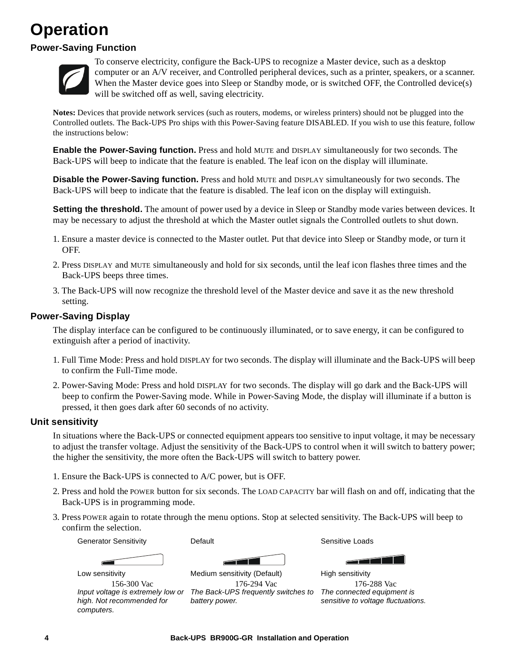### **Operation**

#### **Power-Saving Function**



To conserve electricity, configure the Back-UPS to recognize a Master device, such as a desktop computer or an A/V receiver, and Controlled peripheral devices, such as a printer, speakers, or a scanner. When the Master device goes into Sleep or Standby mode, or is switched OFF, the Controlled device(s) will be switched off as well, saving electricity.

**Notes:** Devices that provide network services (such as routers, modems, or wireless printers) should not be plugged into the Controlled outlets. The Back-UPS Pro ships with this Power-Saving feature DISABLED. If you wish to use this feature, follow the instructions below:

**Enable the Power-Saving function.** Press and hold MUTE and DISPLAY simultaneously for two seconds. The Back-UPS will beep to indicate that the feature is enabled. The leaf icon on the display will illuminate.

**Disable the Power-Saving function.** Press and hold MUTE and DISPLAY simultaneously for two seconds. The Back-UPS will beep to indicate that the feature is disabled. The leaf icon on the display will extinguish.

Setting the threshold. The amount of power used by a device in Sleep or Standby mode varies between devices. It may be necessary to adjust the threshold at which the Master outlet signals the Controlled outlets to shut down.

- 1. Ensure a master device is connected to the Master outlet. Put that device into Sleep or Standby mode, or turn it OFF.
- 2. Press DISPLAY and MUTE simultaneously and hold for six seconds, until the leaf icon flashes three times and the Back-UPS beeps three times.
- 3. The Back-UPS will now recognize the threshold level of the Master device and save it as the new threshold setting.

#### **Power-Saving Display**

The display interface can be configured to be continuously illuminated, or to save energy, it can be configured to extinguish after a period of inactivity.

- 1. Full Time Mode: Press and hold DISPLAY for two seconds. The display will illuminate and the Back-UPS will beep to confirm the Full-Time mode.
- 2. Power-Saving Mode: Press and hold DISPLAY for two seconds. The display will go dark and the Back-UPS will beep to confirm the Power-Saving mode. While in Power-Saving Mode, the display will illuminate if a button is pressed, it then goes dark after 60 seconds of no activity.

#### **Unit sensitivity**

In situations where the Back-UPS or connected equipment appears too sensitive to input voltage, it may be necessary to adjust the transfer voltage. Adjust the sensitivity of the Back-UPS to control when it will switch to battery power; the higher the sensitivity, the more often the Back-UPS will switch to battery power.

- 1. Ensure the Back-UPS is connected to A/C power, but is OFF.
- 2. Press and hold the POWER button for six seconds. The LOAD CAPACITY bar will flash on and off, indicating that the Back-UPS is in programming mode.
- 3. Press POWER again to rotate through the menu options. Stop at selected sensitivity. The Back-UPS will beep to confirm the selection.

Generator Sensitivity **Default** Default **Default** Sensitive Loads

*computers.*

*high. Not recommended for* 

Low sensitivity **Medium sensitivity (Default)** High sensitivity 156-300 Vac 176-294 Vac 176-288 Vac *Input voltage is extremely low or The Back-UPS frequently switches to The connected equipment is battery power.*

*sensitive to voltage fluctuations.*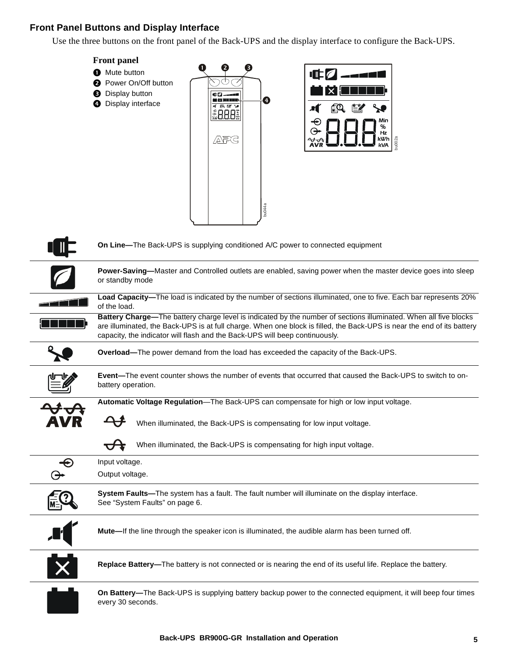#### **Front Panel Buttons and Display Interface**

Use the three buttons on the front panel of the Back-UPS and the display interface to configure the Back-UPS.

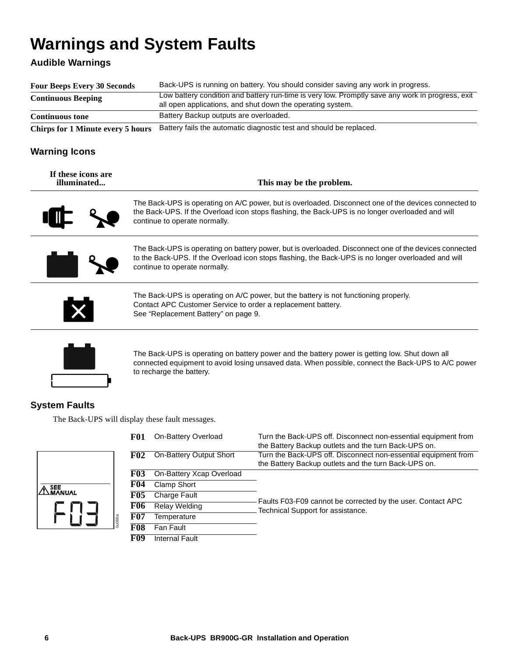### **Warnings and System Faults**

### **Audible Warnings**

| <b>Four Beeps Every 30 Seconds</b>       | Back-UPS is running on battery. You should consider saving any work in progress.                                                                               |  |  |
|------------------------------------------|----------------------------------------------------------------------------------------------------------------------------------------------------------------|--|--|
| <b>Continuous Beeping</b>                | Low battery condition and battery run-time is very low. Promptly save any work in progress, exit<br>all open applications, and shut down the operating system. |  |  |
| <b>Continuous tone</b>                   | Battery Backup outputs are overloaded.                                                                                                                         |  |  |
| <b>Chirps for 1 Minute every 5 hours</b> | Battery fails the automatic diagnostic test and should be replaced.                                                                                            |  |  |

#### **Warning Icons**

| If these icons are<br>illuminated | This may be the problem.                                                                                                                                                                                                                       |  |  |
|-----------------------------------|------------------------------------------------------------------------------------------------------------------------------------------------------------------------------------------------------------------------------------------------|--|--|
| a jir                             | The Back-UPS is operating on A/C power, but is overloaded. Disconnect one of the devices connected to<br>the Back-UPS. If the Overload icon stops flashing, the Back-UPS is no longer overloaded and will<br>continue to operate normally.     |  |  |
|                                   | The Back-UPS is operating on battery power, but is overloaded. Disconnect one of the devices connected<br>to the Back-UPS. If the Overload icon stops flashing, the Back-UPS is no longer overloaded and will<br>continue to operate normally. |  |  |
|                                   | The Back-UPS is operating on A/C power, but the battery is not functioning properly.<br>Contact APC Customer Service to order a replacement battery.<br>See "Replacement Battery" on page 9.                                                   |  |  |



The Back-UPS is operating on battery power and the battery power is getting low. Shut down all connected equipment to avoid losing unsaved data. When possible, connect the Back-UPS to A/C power to recharge the battery.

#### <span id="page-5-0"></span>**System Faults**

The Back-UPS will display these fault messages.

|               | <b>F01</b> | On-Battery Overload      | Turn the Back-UPS off. Disconnect non-essential equipment from<br>the Battery Backup outlets and the turn Back-UPS on. |
|---------------|------------|--------------------------|------------------------------------------------------------------------------------------------------------------------|
|               | F02        | On-Battery Output Short  | Turn the Back-UPS off. Disconnect non-essential equipment from<br>the Battery Backup outlets and the turn Back-UPS on. |
|               | <b>F03</b> | On-Battery Xcap Overload |                                                                                                                        |
| <b>SEE</b>    | F04        | Clamp Short              |                                                                                                                        |
| <b>MANUAL</b> | <b>F05</b> | Charge Fault             |                                                                                                                        |
|               | F06        | Relay Welding            | Faults F03-F09 cannot be corrected by the user. Contact APC<br>Technical Support for assistance.                       |
| u088a         | F07        | Temperature              |                                                                                                                        |
|               | <b>F08</b> | Fan Fault                |                                                                                                                        |
|               | F09        | Internal Fault           |                                                                                                                        |

 $\overline{\mathbb{A}}$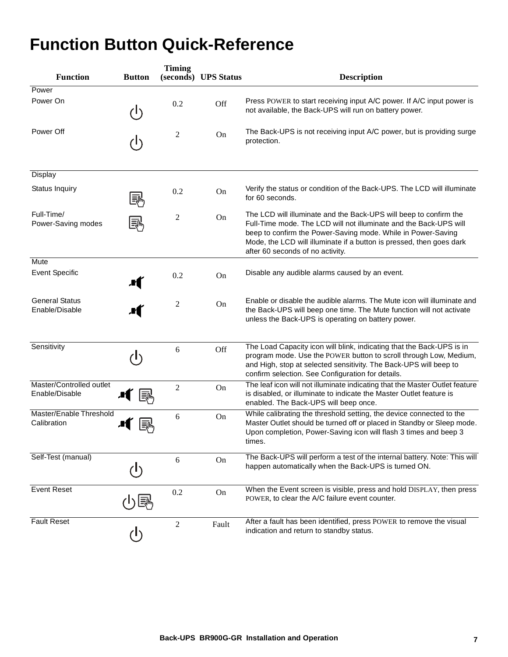### **Function Button Quick-Reference**

| <b>Function</b>                            | <b>Button</b>            | <b>Timing</b>  | (seconds) UPS Status | <b>Description</b>                                                                                                                                                                                                                                                                                                 |
|--------------------------------------------|--------------------------|----------------|----------------------|--------------------------------------------------------------------------------------------------------------------------------------------------------------------------------------------------------------------------------------------------------------------------------------------------------------------|
| Power                                      |                          |                |                      |                                                                                                                                                                                                                                                                                                                    |
| Power On                                   | (b                       | 0.2            | Off                  | Press POWER to start receiving input A/C power. If A/C input power is<br>not available, the Back-UPS will run on battery power.                                                                                                                                                                                    |
| Power Off                                  | しょうかん むしょう じょうしょう じょうしょう | 2              | On                   | The Back-UPS is not receiving input A/C power, but is providing surge<br>protection.                                                                                                                                                                                                                               |
| Display                                    |                          |                |                      |                                                                                                                                                                                                                                                                                                                    |
| Status Inquiry                             | 酚                        | 0.2            | On                   | Verify the status or condition of the Back-UPS. The LCD will illuminate<br>for 60 seconds.                                                                                                                                                                                                                         |
| Full-Time/<br>Power-Saving modes           | 瓢                        | $\overline{c}$ | On                   | The LCD will illuminate and the Back-UPS will beep to confirm the<br>Full-Time mode. The LCD will not illuminate and the Back-UPS will<br>beep to confirm the Power-Saving mode. While in Power-Saving<br>Mode, the LCD will illuminate if a button is pressed, then goes dark<br>after 60 seconds of no activity. |
| <b>Mute</b>                                |                          |                |                      |                                                                                                                                                                                                                                                                                                                    |
| <b>Event Specific</b>                      |                          | 0.2            | On                   | Disable any audible alarms caused by an event.                                                                                                                                                                                                                                                                     |
| <b>General Status</b><br>Enable/Disable    | r(                       | $\overline{2}$ | On                   | Enable or disable the audible alarms. The Mute icon will illuminate and<br>the Back-UPS will beep one time. The Mute function will not activate<br>unless the Back-UPS is operating on battery power.                                                                                                              |
| Sensitivity                                | (l)                      | 6              | Off                  | The Load Capacity icon will blink, indicating that the Back-UPS is in<br>program mode. Use the POWER button to scroll through Low, Medium,<br>and High, stop at selected sensitivity. The Back-UPS will beep to<br>confirm selection. See Configuration for details.                                               |
| Master/Controlled outlet<br>Enable/Disable |                          | $\overline{2}$ | On                   | The leaf icon will not illuminate indicating that the Master Outlet feature<br>is disabled, or illuminate to indicate the Master Outlet feature is<br>enabled. The Back-UPS will beep once.                                                                                                                        |
| Master/Enable Threshold<br>Calibration     |                          | 6              | On                   | While calibrating the threshold setting, the device connected to the<br>Master Outlet should be turned off or placed in Standby or Sleep mode.<br>Upon completion, Power-Saving icon will flash 3 times and beep 3<br>times.                                                                                       |
| Self-Test (manual)                         | (l)                      | 6              | On                   | The Back-UPS will perform a test of the internal battery. Note: This will<br>happen automatically when the Back-UPS is turned ON.                                                                                                                                                                                  |
| <b>Event Reset</b>                         |                          | 0.2            | On                   | When the Event screen is visible, press and hold DISPLAY, then press<br>POWER, to clear the A/C failure event counter.                                                                                                                                                                                             |
| <b>Fault Reset</b>                         |                          | $\mathbf{2}$   | Fault                | After a fault has been identified, press POWER to remove the visual<br>indication and return to standby status.                                                                                                                                                                                                    |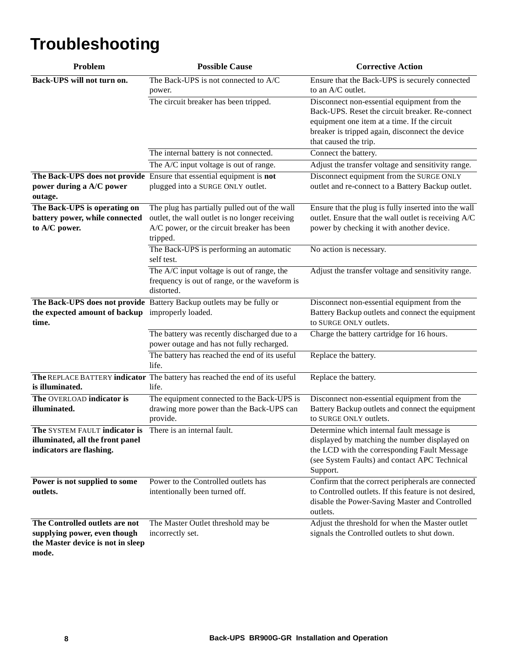### **Troubleshooting**

| Problem                                                                                                                   | <b>Possible Cause</b>                                                                                                                                     | <b>Corrective Action</b>                                                                                                                                                                                                   |
|---------------------------------------------------------------------------------------------------------------------------|-----------------------------------------------------------------------------------------------------------------------------------------------------------|----------------------------------------------------------------------------------------------------------------------------------------------------------------------------------------------------------------------------|
| Back-UPS will not turn on.                                                                                                | The Back-UPS is not connected to A/C<br>power.                                                                                                            | Ensure that the Back-UPS is securely connected<br>to an $A/C$ outlet.                                                                                                                                                      |
|                                                                                                                           | The circuit breaker has been tripped.                                                                                                                     | Disconnect non-essential equipment from the<br>Back-UPS. Reset the circuit breaker. Re-connect<br>equipment one item at a time. If the circuit<br>breaker is tripped again, disconnect the device<br>that caused the trip. |
|                                                                                                                           | The internal battery is not connected.                                                                                                                    | Connect the battery.                                                                                                                                                                                                       |
|                                                                                                                           | The A/C input voltage is out of range.                                                                                                                    | Adjust the transfer voltage and sensitivity range.                                                                                                                                                                         |
| power during a A/C power<br>outage.                                                                                       | The Back-UPS does not provide Ensure that essential equipment is not<br>plugged into a SURGE ONLY outlet.                                                 | Disconnect equipment from the SURGE ONLY<br>outlet and re-connect to a Battery Backup outlet.                                                                                                                              |
| The Back-UPS is operating on<br>battery power, while connected<br>to A/C power.                                           | The plug has partially pulled out of the wall<br>outlet, the wall outlet is no longer receiving<br>A/C power, or the circuit breaker has been<br>tripped. | Ensure that the plug is fully inserted into the wall<br>outlet. Ensure that the wall outlet is receiving A/C<br>power by checking it with another device.                                                                  |
|                                                                                                                           | The Back-UPS is performing an automatic<br>self test.<br>The A/C input voltage is out of range, the<br>frequency is out of range, or the waveform is      | No action is necessary.<br>Adjust the transfer voltage and sensitivity range.                                                                                                                                              |
|                                                                                                                           | distorted.                                                                                                                                                |                                                                                                                                                                                                                            |
| the expected amount of backup improperly loaded.<br>time.                                                                 | The Back-UPS does not provide Battery Backup outlets may be fully or                                                                                      | Disconnect non-essential equipment from the<br>Battery Backup outlets and connect the equipment<br>to SURGE ONLY outlets.                                                                                                  |
|                                                                                                                           | The battery was recently discharged due to a<br>power outage and has not fully recharged.                                                                 | Charge the battery cartridge for 16 hours.                                                                                                                                                                                 |
|                                                                                                                           | The battery has reached the end of its useful<br>life.                                                                                                    | Replace the battery.                                                                                                                                                                                                       |
| is illuminated.                                                                                                           | The REPLACE BATTERY indicator The battery has reached the end of its useful<br>life.                                                                      | Replace the battery.                                                                                                                                                                                                       |
| The OVERLOAD indicator is<br>illuminated.                                                                                 | The equipment connected to the Back-UPS is<br>drawing more power than the Back-UPS can<br>provide.                                                        | Disconnect non-essential equipment from the<br>Battery Backup outlets and connect the equipment<br>to SURGE ONLY outlets.                                                                                                  |
| The SYSTEM FAULT indicator is There is an internal fault.<br>illuminated, all the front panel<br>indicators are flashing. |                                                                                                                                                           | Determine which internal fault message is<br>displayed by matching the number displayed on<br>the LCD with the corresponding Fault Message<br>(see System Faults) and contact APC Technical<br>Support.                    |
| Power is not supplied to some<br>outlets.                                                                                 | Power to the Controlled outlets has<br>intentionally been turned off.                                                                                     | Confirm that the correct peripherals are connected<br>to Controlled outlets. If this feature is not desired,<br>disable the Power-Saving Master and Controlled<br>outlets.                                                 |
| The Controlled outlets are not<br>supplying power, even though<br>the Master device is not in sleep                       | The Master Outlet threshold may be<br>incorrectly set.                                                                                                    | Adjust the threshold for when the Master outlet<br>signals the Controlled outlets to shut down.                                                                                                                            |

**mode.**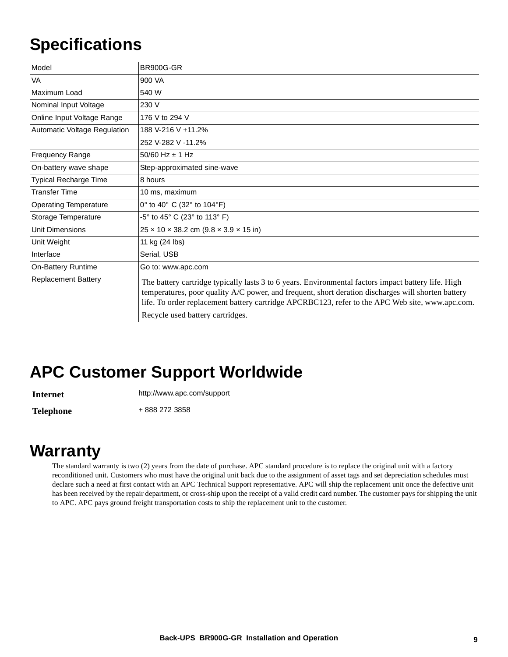### **Specifications**

| Model                               | <b>BR900G-GR</b>                                                                                                                                                                                                                                                                                                                                 |
|-------------------------------------|--------------------------------------------------------------------------------------------------------------------------------------------------------------------------------------------------------------------------------------------------------------------------------------------------------------------------------------------------|
| <b>VA</b>                           | 900 VA                                                                                                                                                                                                                                                                                                                                           |
| Maximum Load                        | 540 W                                                                                                                                                                                                                                                                                                                                            |
| Nominal Input Voltage               | 230 V                                                                                                                                                                                                                                                                                                                                            |
| Online Input Voltage Range          | 176 V to 294 V                                                                                                                                                                                                                                                                                                                                   |
| <b>Automatic Voltage Regulation</b> | 188 V-216 V +11.2%                                                                                                                                                                                                                                                                                                                               |
|                                     | 252 V-282 V -11.2%                                                                                                                                                                                                                                                                                                                               |
| <b>Frequency Range</b>              | $50/60$ Hz $\pm$ 1 Hz                                                                                                                                                                                                                                                                                                                            |
| On-battery wave shape               | Step-approximated sine-wave                                                                                                                                                                                                                                                                                                                      |
| <b>Typical Recharge Time</b>        | 8 hours                                                                                                                                                                                                                                                                                                                                          |
| <b>Transfer Time</b>                | 10 ms, maximum                                                                                                                                                                                                                                                                                                                                   |
| <b>Operating Temperature</b>        | 0° to 40° C (32° to 104°F)                                                                                                                                                                                                                                                                                                                       |
| Storage Temperature                 | -5° to 45° C (23° to 113° F)                                                                                                                                                                                                                                                                                                                     |
| <b>Unit Dimensions</b>              | $25 \times 10 \times 38.2$ cm $(9.8 \times 3.9 \times 15)$ in                                                                                                                                                                                                                                                                                    |
| Unit Weight                         | 11 kg (24 lbs)                                                                                                                                                                                                                                                                                                                                   |
| Interface                           | Serial, USB                                                                                                                                                                                                                                                                                                                                      |
| On-Battery Runtime                  | Go to: www.apc.com                                                                                                                                                                                                                                                                                                                               |
| <b>Replacement Battery</b>          | The battery cartridge typically lasts 3 to 6 years. Environmental factors impact battery life. High<br>temperatures, poor quality A/C power, and frequent, short deration discharges will shorten battery<br>life. To order replacement battery cartridge APCRBC123, refer to the APC Web site, www.apc.com.<br>Recycle used battery cartridges. |

### **APC Customer Support Worldwide**

**Internet** http://www.apc.com/support

Telephone + 888 272 3858

### **Warranty**

The standard warranty is two (2) years from the date of purchase. APC standard procedure is to replace the original unit with a factory reconditioned unit. Customers who must have the original unit back due to the assignment of asset tags and set depreciation schedules must declare such a need at first contact with an APC Technical Support representative. APC will ship the replacement unit once the defective unit has been received by the repair department, or cross-ship upon the receipt of a valid credit card number. The customer pays for shipping the unit to APC. APC pays ground freight transportation costs to ship the replacement unit to the customer.